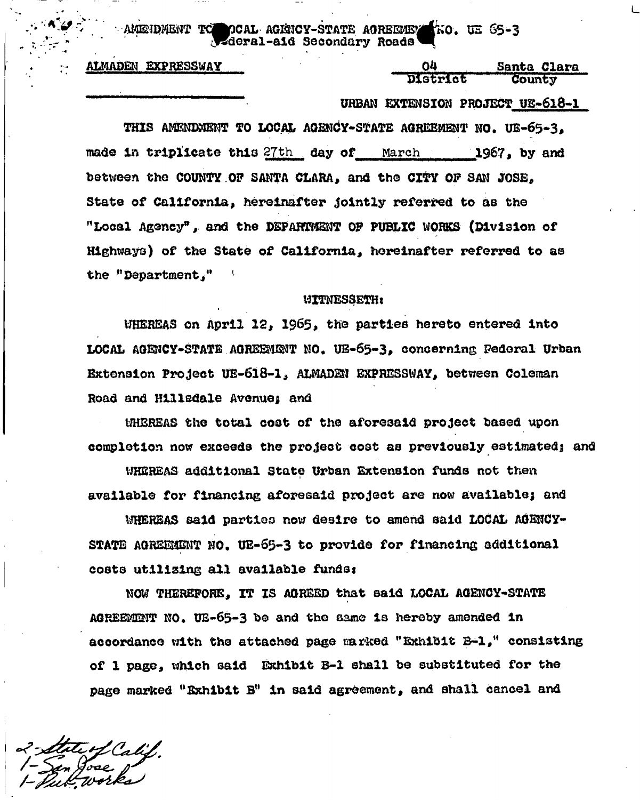AMENDMENT TO DCAL AGENCY-STATE AOREEMEN KO. UE 65-3 **^deral-ai d Secondary Roads** 

**ALMADEN EXPRESSWAY Santa Clara Clara Clara Clara Clara** 

# **District County**

### **• URBAN EXTENSION PROJECT US-618-1**

**THIS AMENDMENT TO LOCAL AGENCY-STATE AGREEMENT NO. UE-65-3,**  made in triplicate this 27th day of March 1967, by and **between the COUNTY OP SANTA CLARA, and the CITY OP SAN JOSE, State of California, hereinafter Jointly referred to as the "Local Agency\*, and the DEPARTMENT OF PUBLIC WORKS (Division of Highways) of the State of California, hereinafter referred to as the <sup>H</sup> Department** 

#### **WITNESSETH:**

WHEREAS on April 12. 1965, the parties hereto entered into LOCAL AGENCY-STATE AGREEMENT NO. UB-65-3, concerning Federal Urban **Extension Project UE-618-1, ALMADSN EXPRESSWAY, between Coleman Road and Hillsdale Avenue; and** 

**UHEREAS the total coot of the aforesaid project based upon**  completion now exceeds the project cost as previously estimated; and

**WHS2REAS additional State Urban Extension funds not then**  available for financing aforesaid project are now available; and

**13HERBAS said parties now desire to amend said LOCAL AGENCY-**STATE AGREEMENT NO. UE-65-3 to provide for financing additional **costs utilizing all available fundss** 

**NOW THEREFORE, IT IS AGREED that said LOCAL AGENCY-STATE AGREEMENT NO. UE-65-3 be and th© same is hereby amended in accordance with the attached page carked "Exhibit B-l," consisting of 1 page, which said Exhibit B-l shall be substituted for the page marked "Exhibit Btt In said agreement, and shall cancel and**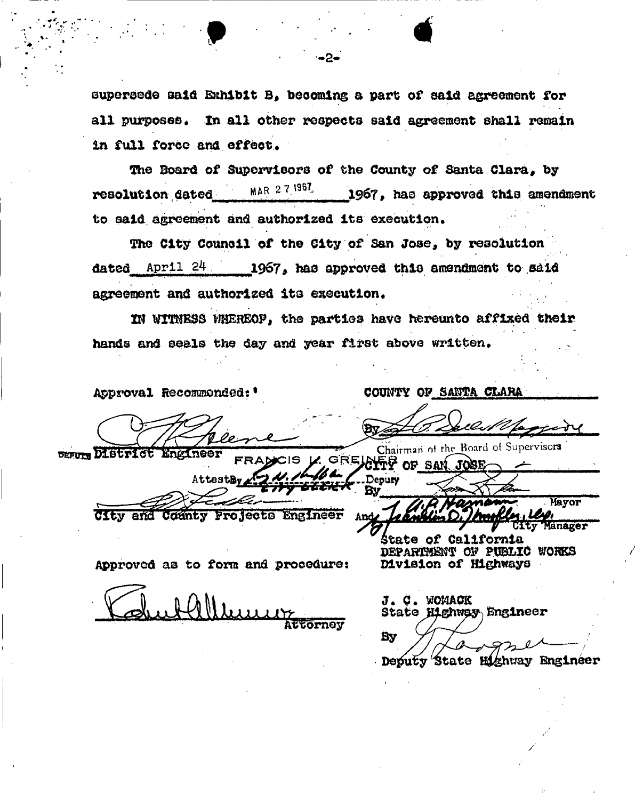**supersede said Exhibit B, beoomlng a part of aaid agreement for all purposes, In all other respects said agreement shall remain**  in full force and effect.

**The Board of Supervisors of the County of Santa Clara, by resolution dated MAR** 27 **9 6 V 1967» has approved this amendment**  to said agreement and authorized its execution.

**The City Council of the City of San Joae, by resolution**  dated April 24 1967, has approved this amendment to said agreement and authorized its execution.

**2M WVMBSS WHEREOF, the parties have hereunto affixed their hands and seals the day and year first above written.** 

 $\cdots$ 

**Approval Recommended: \* COUNTY OF SANTA CLARA** 

DIStrict Engineer

UIEV and County Projects Engineer

AttestBy

FRA

**Approved as to form and procedure:** 

Alleue **Attorney** 

J. C. WOMACK **Stat© Highway Engineer**  Bv -**Deputy State Highway Engineer** 

/

Chairman of the Board of Supervisors

CIS K. GREALER OF SAN JOSE Deputy **By Mayor inager** 

**itate of California DEPAMffi^T OF PUBLIC WORKS Division of Highways**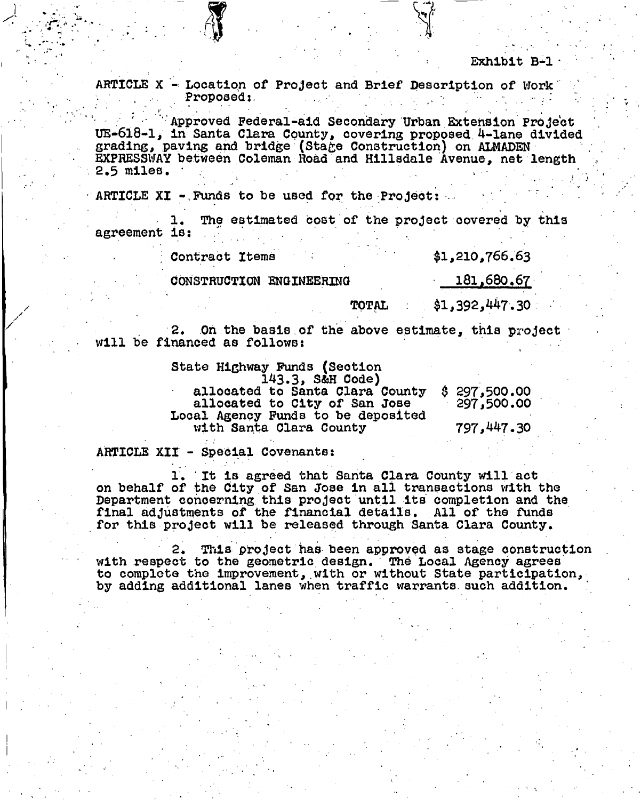**ARTICLE X - Location of Project and Brief Description of Work**  Proposed:

 $\mathbf{v} = \mathbf{v} \cdot \mathbf{v}$  . The contribution of the contribution of  $\mathbf{v}$  ,  $\mathbf{v} = \mathbf{v} \cdot \mathbf{v}$ 

**'•Approved Federal-aid Secondary Urban Extension Project UE-618-1, in Santa Clara County, covering proposed 4-lane divided grading, paving and bridge (Sta£e Construction) on ALMADEN EXPRESSWAY between Coleman Road and Hillsdale Avenue, net length 2.5 miles. ' .** 

**ARTICLE XI -/Funds to be used for the Project: .** 

The estimated cost of the project covered by this **agreement is: .** 

**Contract Items \$1,210,766.63** 

**CONSTRUCTION ENGINEERING 181,680.67** 

TOTAL \$1,392,447.30

**2. On the basis of the above estimate, this project will be financed as follows:** 

> **State Highway Funds (Section 143.3> S&H Code)**

**allocated to Santa Clara County \$ 297,500.00**  allocated to City of San Jose **Looal Agency Funds to be deposited with Santa Clara County 797>447.30** 

**ARTICLE XII - Special Covenants:** 

1. It is agreed that Santa Clara County will act<br>on behalf of the City of San Jose in all transactions with the Department concerning this project until its completion and the final adjustments of the financial details. All of the funds for this project will be released through Santa Clara County. **for this project will be released through Santa Clara County.** 

**2. This piroject has been approved as stage construction with respect to the geometric design. The Local Agency agrees to complete the improvement, with or without State participation, by adding additional lanes when traffic warrants such addition.**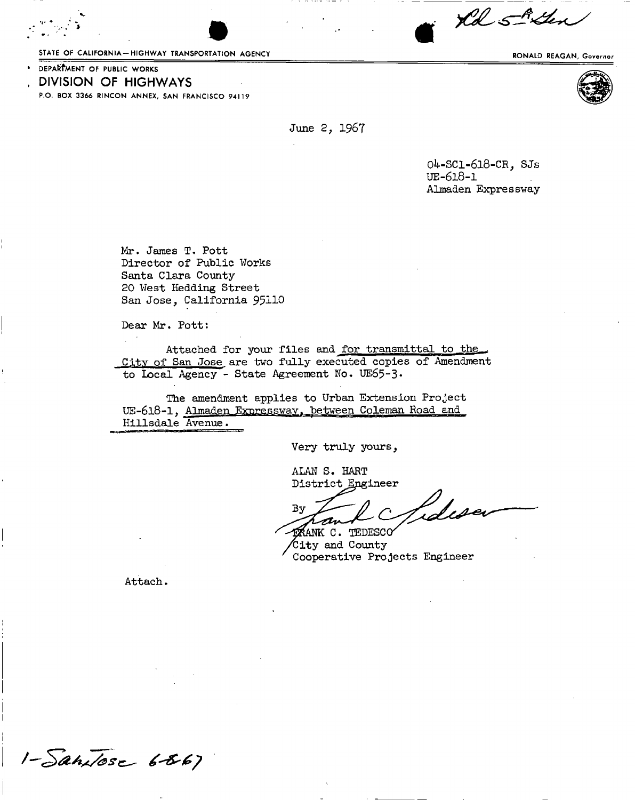STATE OF CALIFORNIA-HIGHWAY TRANSPORTATION AGENCY **Example 2008** RONALD REAGAN, Governor



\*

June 2, 1967

04-SC1-618-CR, SJs UE-618-I Almaden Expressway

Mr. James T. Pott Director of Public Works Santa Clara County 20 West Hedding Street San Jose, California 95110

Dear Mr. Pott:

Attached for your files and for transmittal to the City of San Jose are two fully executed copies of Amendment to Local Agency - State Agreement No. UE65-3.

The amendment applies to Urban Extension Project UE-618-1, Almaden Expressway, between Coleman Road and Hillsdale Avenue.

Very truly yours,

ALAN S. HART District Engineer

Laliser By

KANK C. TEDESCO City and County Cooperative Projects Engineer

Attach.





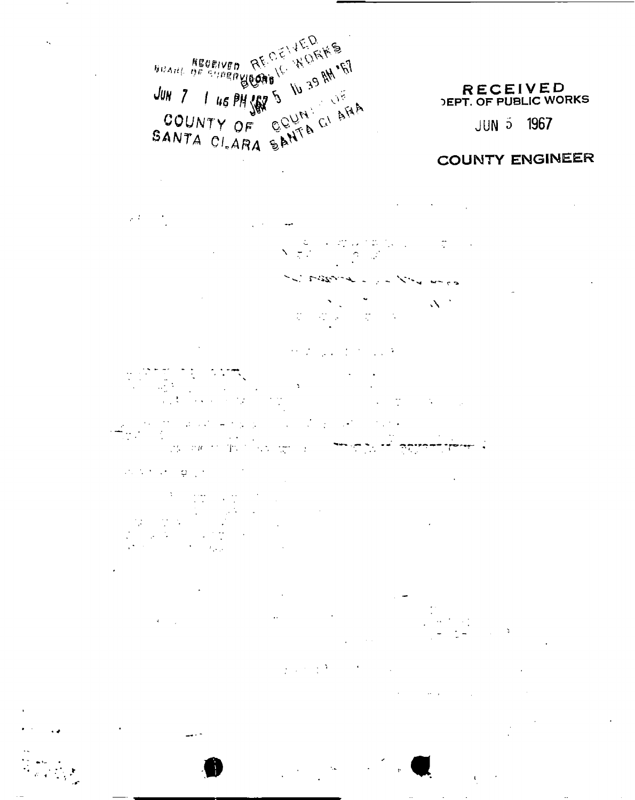.. *ffBeawn JUH* 7 *I 46 PH*  $\frac{100}{100}$  5  $\frac{100}{100}$  6  $\frac{100}{100}$  $\mathcal{L}$  ONTY OF GUENCT **COUNTY OF COUNTAL CALARA** 

## **RECEIVED** DEPT. OF PUBLIC WORKS

**J UN 5 1967** 

# COUNTY ENGINEER

 $\varphi(T)$  .

15.<br>14  $\mathcal{L}$  $N(\frac{c}{\pi})$ 

-J - control - control - control - control - control - control - control - control - control - control - control - control - control - control - control - control - control - control - control - control - control - control  $\Delta \phi^2$  $\frac{1}{2}$ 

> $\mathcal{O}(\mathcal{E})$  $\mathcal{L}_{\text{max}}$  , and  $\mathcal{L}_{\text{max}}$

 $\label{eq:2} \begin{split} \mathcal{L}_{\text{eff}}(\mathbf{r},\mathbf{r}) = \mathcal{L}_{\text{eff}}(\mathbf{r},\mathbf{r}) \mathcal{L}_{\text{eff}}(\mathbf{r},\mathbf{r}) \mathcal{L}_{\text{eff}}(\mathbf{r},\mathbf{r}) \mathcal{L}_{\text{eff}}(\mathbf{r},\mathbf{r}) \mathcal{L}_{\text{eff}}(\mathbf{r},\mathbf{r}) \mathcal{L}_{\text{eff}}(\mathbf{r},\mathbf{r},\mathbf{r}) \mathcal{L}_{\text{eff}}(\mathbf{r},\mathbf{r},\mathbf{r}) \mathcal{L}_{\text{eff}}$ موضوع أمدره جرحه .<br>.. **:**  $\mathbf{r}$  **r.**  $\mathbf{r}$  **r.**  $\mathbf{r}$  **:**  $\mathbf{r}$  **:**  $\mathbf{r}$ 

 $\mathcal{L}^{\mathcal{L}}(\mathcal{L}^{\mathcal{L}}(\mathcal{L}^{\mathcal{L}}(\mathcal{L}^{\mathcal{L}}(\mathcal{L}^{\mathcal{L}}(\mathcal{L}^{\mathcal{L}})))$  $\varphi$  .

**•i**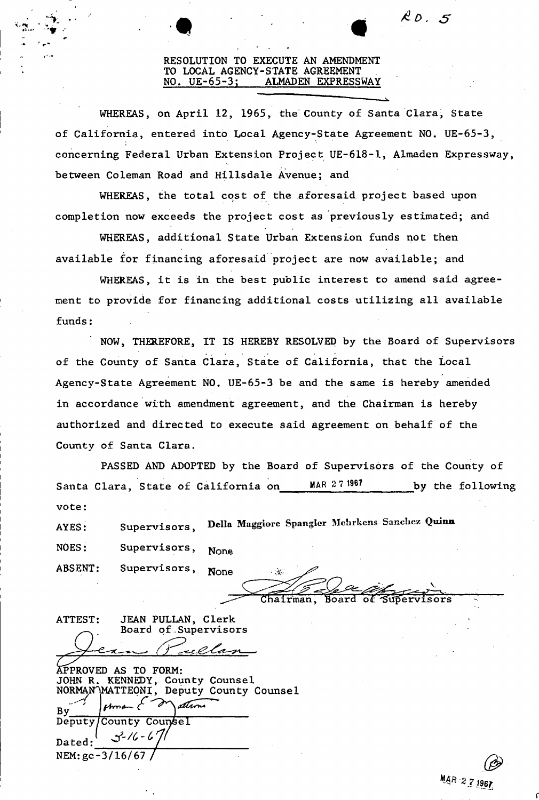### **RESOLUTION TO EXECUTE AN AMENDMENT TO LOCAL AGENCY-STATE AGREEMENT NO, UE-65-3; ALMADEN EXPRESSWAY**

 $\mathcal{R}$  D  $\llap{$\sim$}$  5

**WHEREAS, on April 12, 1965, the County of Santa Clara, State of California, entered into Local Agency-State Agreement NO. UE-65-3, concerning Federal Urban Extension Project UE-618-1, Almaden Expressway, between Coleman Road and Hillsdale Avenue; and** 

**WHEREAS, the total cost of the aforesaid project based upon completion now exceeds the project cost as previously estimated; and** 

**WHEREAS, additional State Urban Extension funds not then available for financing aforesaid project are now available; and** 

**WHEREAS, it is in the best public interest to amend said agreement to provide for financing additional costs utilizing all available funds:** 

**NOW, THEREFORE, IT IS HEREBY RESOLVED by the Board of Supervisors of the County of Santa Clara, State of California, that the Local Agency-State Agreement NO. UE-65-3 be and the same is hereby amended in accordance with amendment agreement, and the Chairman is hereby authorized and directed to execute said agreement on behalf of the County of Santa Clara.** 

**PASSED AND ADOPTED by the Board of Supervisors of the County of**  Santa Clara, State of California on MAR 27 1967 by the following **vote:** 

**AYES: Supervisors,** Delia Maggiore Spangler Mehrkens Sanchez Quinn NOES: Supervisors, None

**ABSENT:** Supervisors, None  $\frac{1}{2}$ 

 $\dot{u}$   $\dot{v}$  $\frac{1}{2}$  see when **Chairman, Board of** 

| JEAN PULLAN, Clerk<br>ATTEST:                                                                                    |
|------------------------------------------------------------------------------------------------------------------|
| Board of Supervisors                                                                                             |
|                                                                                                                  |
| rellan                                                                                                           |
| APPROVED AS TO FORM:<br>JOHN R. KENNEDY, County Counsel<br>NORMAN MATTEONI, Deputy County Counsel<br>ation<br>By |
| Deputy/County Counsel                                                                                            |
| $3 - 16 - 67$<br>Dated:                                                                                          |
| NEM: $gc - 3/16/67/$                                                                                             |

*\* 7 Iter*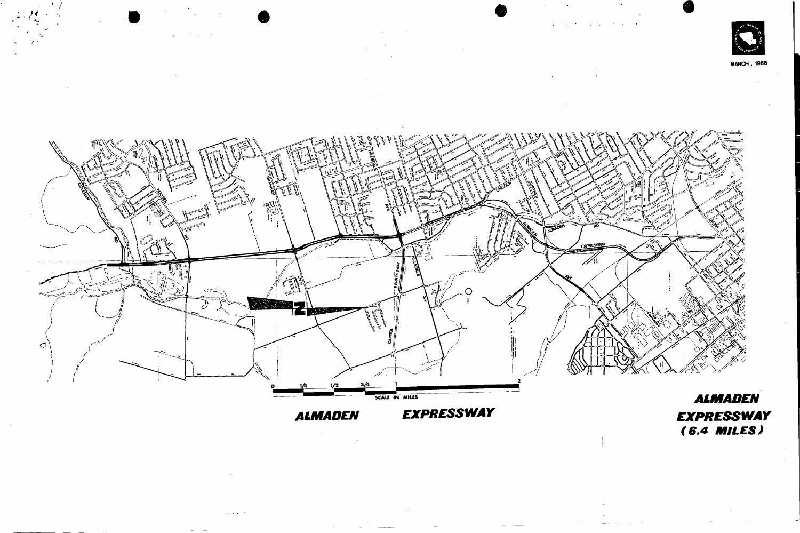; • *t\** 

 $\cdot$   $\cdot$ /



MARCH , 1966



# *ALMADEN EXPRESSWAY*



# *ALMADEN EXPRESSWAY (6.4 MILES)*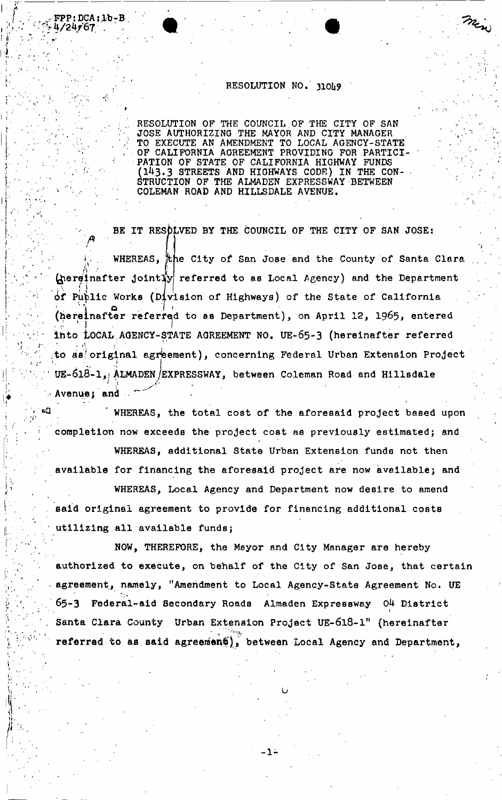## **RESOLUTION NO. 310U9**

**'•7 >**  *I i f*  **li'.** 

**™PP: DCA:1b-B<br>4/24967** 

*.'f t* 

**RESOLUTION OF THE COUNCIL OF THE CITY OF SAN JOSE AUTHORIZING THE MAYOR AND CITY MANAGER TO EXECUTE AN AMENDMENT TO LOCAL AGENCY-STATE OF CALIFORNIA AGREEMENT PROVIDING FOR PARTICI-PATION OF STATE OF CALIFORNIA HIGHWAY FUNDS (143,3 STREETS AND HIGHWAYS CODE) IN THE CON- - STRUCTION OF THE ALMADEN EXPRESSWAY BETWEEN COLEMAN ROAD AND HILLSDALE AVENUE.** 

BE IT RESOLVED BY THE COUNCIL OF THE CITY OF SAN JOSE:

*i*   $K \sim \frac{1}{2}$ **hereinafter Jointlfy**  wHEREAS, the City of San Jose and the County of Santa Clara **referred to as Local Agency) and the Department if Public Works (Division of Highways) of the State of California**  (hereinafter referred to as Department), on April 12, 1965, entered into LOCAL AGENCY-STATE AGREEMENT NO. UE-65-3 (hereinafter referred to as original agreement), concerning Federal Urban Extension Project UE-618-1, ALMADEN/EXPRESSWAY, between Coleman Road and Hillsdale **' UE**-6l8**-l,> ALMADEN /EXPRESSWAY, between Coleman Road and Hillsdale**  Avenue; and <sup>&</sup>gt; */* 

WHEREAS, the total cost of the aforesaid project based upon completion now exceeds the project cost as previously estimated; and

WHEREAS, additional State Urban Extension funds not then available for financing the aforesaid project are now available; and

WHEREAS, Local Agency and Department now desire to amend said original agreement to provide for financing additional costs utilizing all available funds;

NOW, THEREFORE, the Mayor and City Manager are hereby authorized to execute, on behalf of the City of San Jose, that certain agreement, namely, "Amendment to Local Agency-State Agreement No. UE 65-3 Federal-aid Secondary Roads Almaden Expressway 04 District Santa Clara County Urban Extension Project UE-618-1" (hereinafter **, referred to as said agreement), between Local Agency and Department** 

**referred to as said agreement)\* between Local Agency and Department,** 

**-1-**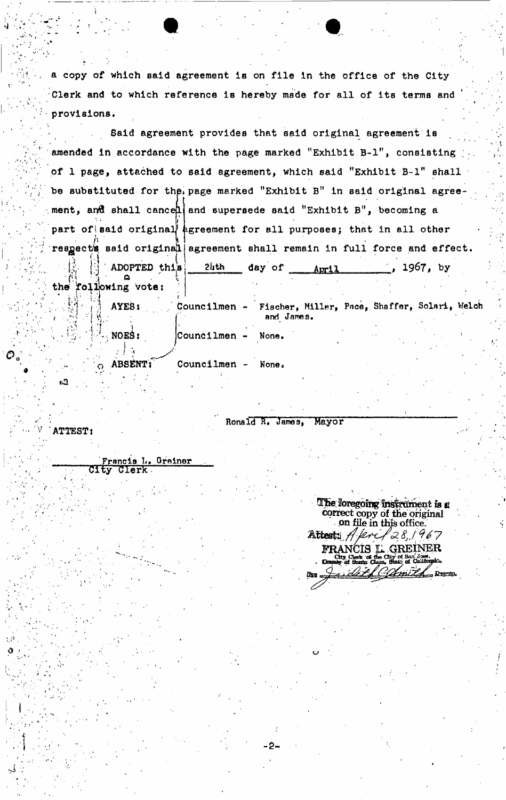**a** copy **of which said agreement is on file in the office of the City Clerk and to which reference is hereby made for all of its terms and**  provisions.

**Said agreement provides that said original agreement is**  amended in accordance with the page marked "Exhibit B-1", consisting **of 1 page, attached to said agreement, which said "Exhibit B-l" shall**  be substituted for the page marked "Exhibit B" in said original agree**ment,** *ar&* **shall cancel and supersede said "Exhibit B", becoming a**  part of said original agreement for all purposes; that in all other respect's said original agreement shall remain in full force and effect. **j|. j\! ' ADOPTED this**  the **foliowing** vote: *tbth* **day of** April *1967,* **by** 

 $a_3$ 

**ATTEST:** 

**Trancis L. Grainer**<br>City Clerk **Clerk** 

|                                             | l J | AYES:                                                          |                      | Councilmen - Fischer, Miller, Pace, Shaffer, Solari, Welch<br>and James. |  |  |
|---------------------------------------------|-----|----------------------------------------------------------------|----------------------|--------------------------------------------------------------------------|--|--|
| $\mathbb{R}^{3}_{\mathrm{B}}$ , $^{\prime}$ |     | $\cdots$ $\cdots$ $\cdots$ $\cdots$ $\cdots$ $\cdots$ $\cdots$ | $\vert$ Councilmen - | None.                                                                    |  |  |
|                                             |     | ABSENT T                                                       | Councilmen           | None.                                                                    |  |  |

**Ronald R. James, Mayor** 

The foregoing instrument is a correct copy of the original **on file in this office.**  Attest: A. Krif 28, 1967

**FRANCIS L. GREINER**<br>
<u>City</u> Clerk of the City of San Jose,

of Calif

City Clerk of the C.<br>County of Santa Clara.

**Era**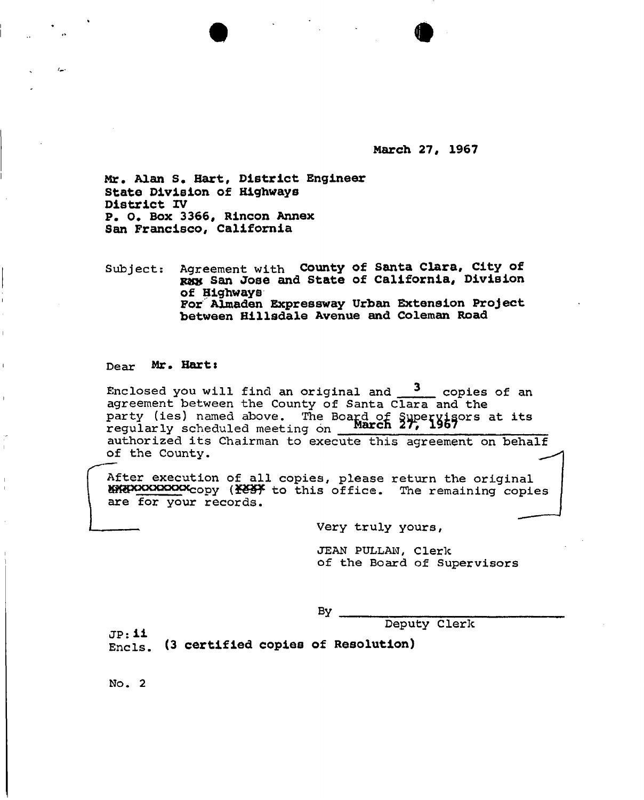**March 27, 1967** 

Mr. Alan S. Hart, District Engineer **State Division of Highways District IV P. 0. Box 3366, Rincon Annex San Francisco, California** 

Subject: Agreement with County of Santa Clara, City of **rav San Jose and State of California, Division of Highways For Almaden Expressway Urban Extension Project between Hillsdale Avenue and Coleman Road** 

 $\bullet$   $\bullet$   $\bullet$ 

#### Dear Mr. Hart:

Enclose d yo u wil l fin d a n origina l an d <sup>3</sup> copie s o f a n agreement between the County of Santa Clara and the party (ies) named above. The Board of Supervisors at its regularly scheduled meeting on **March 27, 1967** authorized its Chairman to execute this agreement on behalf of the County.

After execution of all copies, please return the original Sggpcxxxxxxxcop y t o thi s office . Th e remainin g copie s are for your records.

Very truly yours,

JEAN PULLAN, Clerk of the Board of Supervisors

 $\mathbf{B} \mathbf{y}$ 

Deputy Clerk

J P**: ii**  Encls. (3 certified copies of Resolution)

 $No. 2$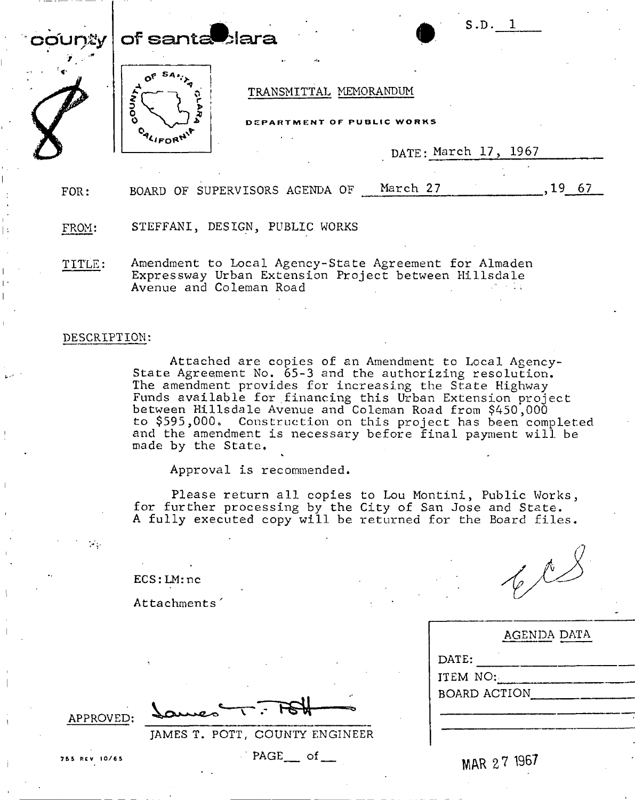|                                                                                                                       | $\mathop{\sf co}\nolimits$ un $y\, \, \mathop{\sf of}\nolimits$ santa $\blacksquare$ lara |                                                      |          | S.D.                 |            |
|-----------------------------------------------------------------------------------------------------------------------|-------------------------------------------------------------------------------------------|------------------------------------------------------|----------|----------------------|------------|
| <b>Contract of Contract of Contract of Contract of Contract of Contract of Contract of Contract of Contract of Co</b> |                                                                                           | TRANSMITTAL MEMORANDUM<br>DEPARTMENT OF PUBLIC WORKS |          |                      |            |
|                                                                                                                       |                                                                                           |                                                      |          | DATE: March 17, 1967 |            |
| FOR:                                                                                                                  | BOARD                                                                                     | OF SUPERVISORS AGENDA OF                             | March 27 |                      | -67<br>LY. |

FROM: STEFFANI, DESIGN, PUBLIC WORKS

TITLE: Amendment to Local Agency-State Agreement for Almaden Expressway Urban Extension Project between Hillsdale Avenue and Coleman Road

#### DESCRIPTION:

Attached are copies of an Amendment to Local Agency-State Agreement No. 65-3 and the authorizing resolution. The amendment provides for increasing the State Highway Funds available for financing this Urban Extension project between Hillsdale Avenue and Coleman Road from \$450,000 to \$595,000. Construction on this project has been completed and the amendment is necessary before final payment will be made by the State. by the State.<br>Approval is recommended.

Please return all copies to Lou Montini, Public Works , for further processing by the City of San Jose and State. A fully executed copy will be returned for the Board files.

 $603$ 

|                     | AGENDA DATA |
|---------------------|-------------|
| DATE:               |             |
| ITEM NO:            |             |
| <b>BOARD ACTION</b> |             |

APPROVED:

Attachments'

ECS:LM:nc

JAMES T. POTT, COUNTY ENGINEER

755 REV 10/65 **PAGE of MAR 27 1967**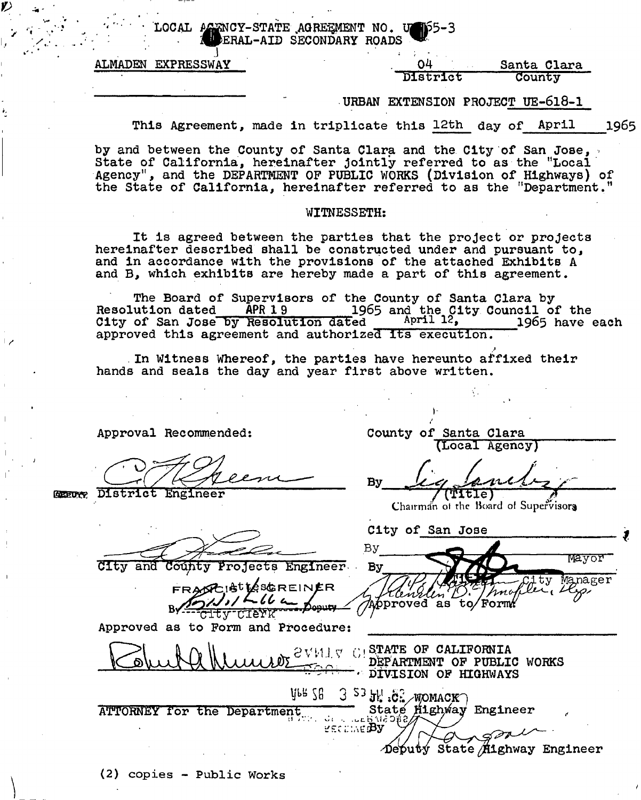LOCAL AGENCY-STATE AGREEMENT NO. UFf5-3 **@ERAL-AID SECONDARY ROADS** 

J **ALMADEN EXPRESSWAY** 

#### **04 District Santa Clara County**

**•URBAN EXTENSION PROJECT UE-6l8-l** 

**County of Santa Clara** 

By *Lig Lanch* 

**City of San Jose** 

Approved as to Form:

**(Local Agency)** 

Chairman of the Board of Supervisors

nno

**Manage r 1** 

Mayor

**This Agreement, made in triplicate this 12th day of April** 1965

**by and between the County of Santa Clara and the City of San Jose, < State of California, hereinafter Jointly referred to as the "Local Agency", and the DEPARTMENT OP PUBLIC WORKS (Division of Highways) of the State of California, hereinafter referred to as the "Department."** 

#### **WITNESSETH:**

**It is agreed between the parties that the project or projects hereinafter described shall be constructed under and pursuant to, and in accordance with the provisions of the attached Exhibits A and B , which exhibits are hereby made a part of this agreement.** 

**The Board of Supervisors of the County of Santa Clara by Resolution dated APR 19 1965 and the City Council of the**  City of San Jose by Resolution dated April 12, 1965 have each City of San Jose by Resolution dated April 12, approved this agreement and authorized its execution.

*>*  **In Witness Whereof, the parties have hereunto affixed their hands and seals the day and year first above written.** 

**Approval Recommended:** 

**HEsro District Engineer** 

**City and County Projects Engineer By** 

FRASCIS<sup>t</sup>tesGREINER  $1662$ <del>era Doputy</del> <del>CITY CIEY</del>K

**Approved as to Form and Procedure:** 

**t**  $\mathbb{R}$  **h**  $\mathbb{R}$  **l 1**  $\ldots$  in  $\mathbb{R}$  SV14 J V C1 STATE OF CALIFORNIA **\C&\)UUUK l ^ DEPARTMENT OF PUBL PUBLII C WORKS DIVISION OF HIGHWAYS**   $y_{68}$   $56$  3  $53$   $51$ ,  $62$  womack **ATTORNEY ror the Department <sup>V</sup>State**   $c\in\mathbb{R}$ **Engineer Deputy State Aighway Engineer** 

By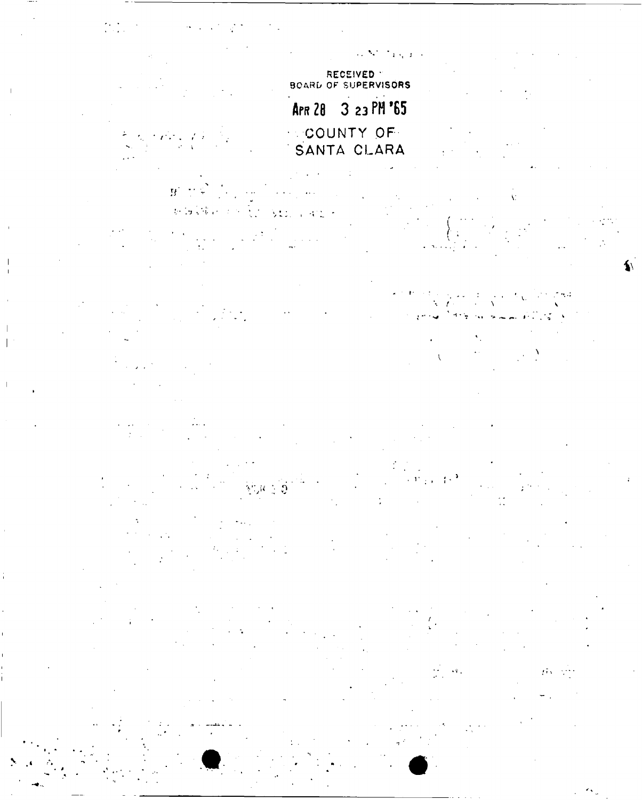RECEIVED<br>BOARD OF SUPERVISORS APR 28 3 23 PM '65 COUNTY OF  $\mathbf{B}^{\prime} \rightarrow \mathcal{Z}$  $\mathbb{P}(\mathbf{S} \widehat{\mathbf{W}}_t) \geq \mathbb{P}(\widehat{\mathbf{W}}_t) \geq \mathbf{M}(\mathbf{S} \mathbf{X})$ 

 $\sim 0.3$  $\overline{1}$ 

 $\left\langle \left( \mathbf{r} \right) \right\rangle_{\mathcal{L}^{\left( \mathbf{r} \right)}} = \left( \mathbf{r} \right)^{\mathbf{1}}$  $\langle \psi_{\alpha} \rangle_{\alpha}$  ,  $\langle \psi_{\alpha} \rangle$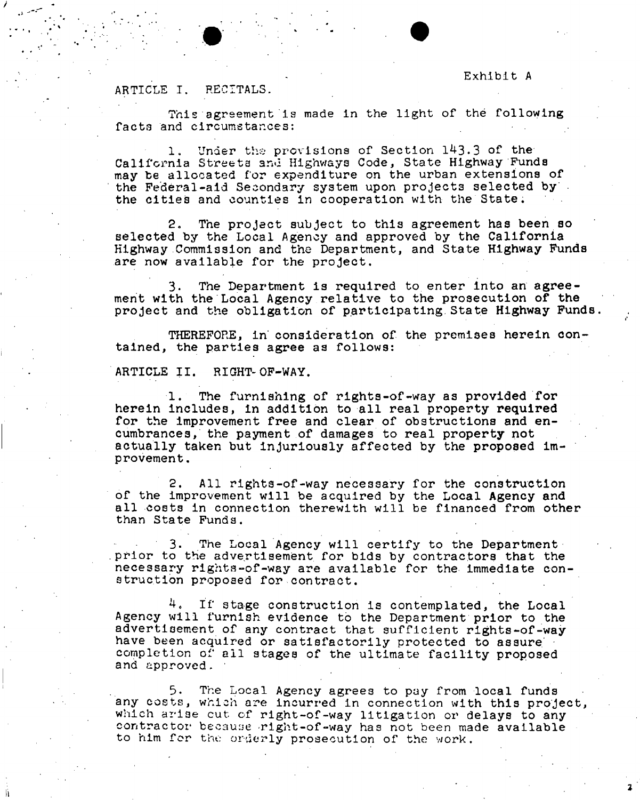#### **ARTICLE I. RECITALS.**

This agreement is made in the light of the following facts and circumstances:

**1. Under the provisions of Section 143.3 of the California Streets anu Highways Code, State Highway Funds may be allocated for expenditure on the urban extensions of the Federal-aid Secondary system upon projects selected by the cities and counties in cooperation with the State.** 

**2. The project subject to this agreement has been so selected by the Local Agency and approved by the California Highway Commission and the Department, and State Highway Funds are now available for the project.** 

**3. The Department is required to enter into an agreement with the Local Agency relative to the prosecution of the project and the obligation of participating.State Highway Funds.** 

**THEREFORE, in consideration of the premises herein contained, the parties agree as follows:** 

**ARTICLE II. RIGHT-OF-WAY.** 

**1. The furnishing of rights-of-way as provided for herein includes, in addition to all real property** required **for the improvement free and clear of obstructions and encumbrances, the payment of damages to real property not actually taken but injuriously affected by the proposed improvement.** 

**2. All rights-of-way necessary for the construction of the improvement will be acquired by the Local Agency and all costs in connection therewith will be financed from other than State Funds.** 

**3. The Local Agency will certify to the Department**  prior to the advertisement for bids by contractors that the **necessary rights-of-way are available for the immediate construction proposed for-contract.** 

4. If stage construction is contemplated, the Local **Agency will furnish evidence to the Department prior to the advertisement of any contract that sufficient rights-of-way**  have been acquired or satisfactorily protected to assure **completion of all stages of the ultimate facility proposed and approved.** 

**5. The Local Agency agrees to pay from local funds any costs, which** are **incurred in connection with this project,**  which arise cut of right-of-way litigation or delays to any contractor because right-of-way has not been made available to him for the orderly prosecution of the work.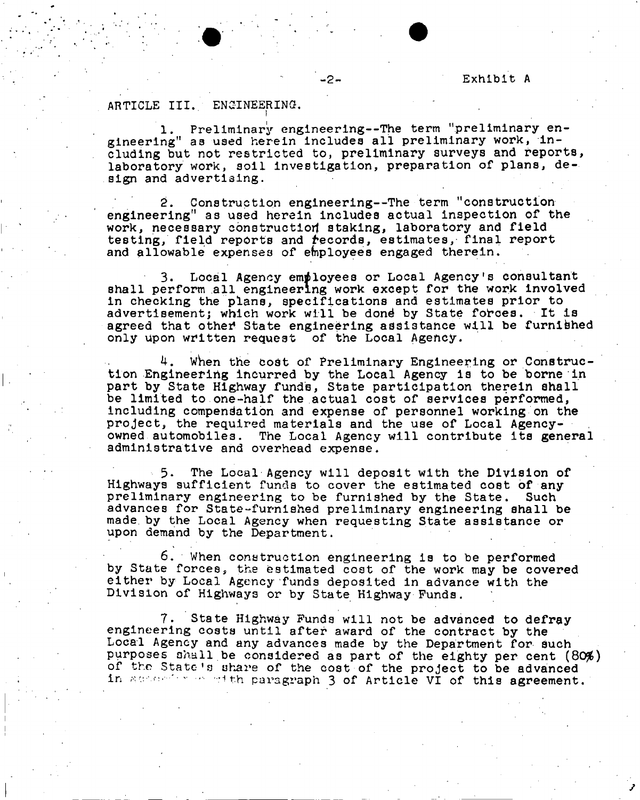#### **ARTICLE III.. ENGINEERING.**

**1. Preliminary engineering—The term "preliminary engineering" as used herein includes all preliminary work, including but not restricted to, preliminary surveys and reports, laboratory work, soil investigation, preparation of plans, design and advertising.** 

**2. Construction engineering—The term "construction engineering" as used herein includes actual inspection of the work, necessary construction staking, laboratory and field**  testing, field reports and *records*, estimates, final report **and allowable expenses of employees engaged therein.** 

**3. Local Agency employees or Local Agency's consultant shall perform all engineering work except for the work involved in checking the plans, specifications and estimates prior to advertisement; which work will be dond by State forces. It is**  agreed that other State engineering assistance will be furnished **only upon written request of the Local Agency.** 

**4 . when the codt of Preliminary Engineering or Construction .Engineering incurred by the Local Agency is to be borne in part by State Highway fund's, State participation therein shall be limited to one-haIf the actual cost of services performed, including compensation and expense of personnel working on the project, the required materials and the use of Local Agencyowned automobiles. The Local Agency will contribute its general administrative and overhead expense.** 

**5. The Local Agency will deposit with the Division of Highways sufficient funds to cover the estimated cost of any preliminary engineering to be furnished by the State. Such advances for State-furnished preliminary engineering shall be made by the Local Agency when requesting State assistance or upon demand by the Department.** 

**6. When construction engineering is to be performed by State forces, the estimated cost of the work may be covered either by Local Agency funds deposited in advance with the Division of Highways or by State Highway Funds.** 

**7 . State Highway Funds will not be advanced to defra y engineering costs until after award of the contract by the Local Agency and any advances made by the Department for such purposes shall be considered as part of the eighty per cent (80#) of the State's share of the cost of the project to be advanced**  in according of the paragraph 3 of Article VI of this agreement.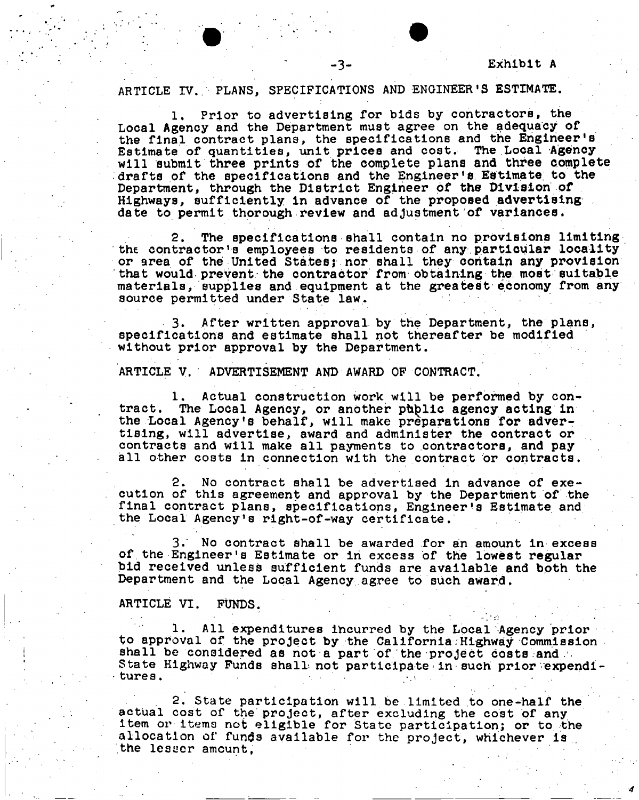# **ARTICLE IV.. PLANS, SPECIFICATIONS AND ENGINEER'S ESTIMATE.**

**1. Prior to advertising for bids by contractors, the Local Agency and the Department must agree on the adequacy of the final contract plans, the specifications and the Engineer's Estimate of quantities, unit prices and cost. The Local Agency will submit three prints of the complete plans and three complete drafts of the specifications and the Engineer's Estimate to the Department, through the District Engineer of the Division of Highways, sufficiently in advance of the proposed advertising date to permit thorough review and adjustment of variances.** 

**2. The specifications shall contain no provisions limiting the contractor's employees to residents of any particular locality or area of the United States; nor shall they contain any provision that would prevent the contractor from obtaining the most suitable materials, supplies and equipment at the greatest economy from any source permitted under State law.** 

**3. After written approval by the Department, the plans, specifications and estimate shall not thereafter be modified without prior approval by the Department.** 

**ARTICLE V. ADVERTISEMENT AND AWARD OF CONTRACT.** 

**1. Actual construction work will be performed by contract. The Local Agency, or another phblic agency acting in**  the Local Agency's behalf, will make preparations for adver**tising, will advertise, award and administer the contract or contracts and will make all payments to contractors, and pay all other costs in connection with the contract or contracts.** 

**2. No contract shall be advertised in advance of execution of this agreement and approval by the Department of the final contract plans, specifications, Engineer's Estimate and the Local Agency's right-of-way certificate.** 

**3. No contract shall be awarded for an amount in excess of.the Engineer's Estimate or in excess of the lowest regular bid received unless sufficient funds are available and both the Department and the Local Agency agree to such award,** 

#### **ARTICLE VI. FUNDS.**

**1. All expenditures incurred by the Local Agency prior to approval of the project by the California:Highway Commission shall be considered as not a part of, the project costs and .**  State Highway Funds shall not participate in such prior expendi**tures .** 

**. 2 . State participation will be limited to one-half the actual cost of the project, after excluding the cost of any item or items not eligible for State participation; or to the allocation of funds available for the project, whichever is . the lesser amount,**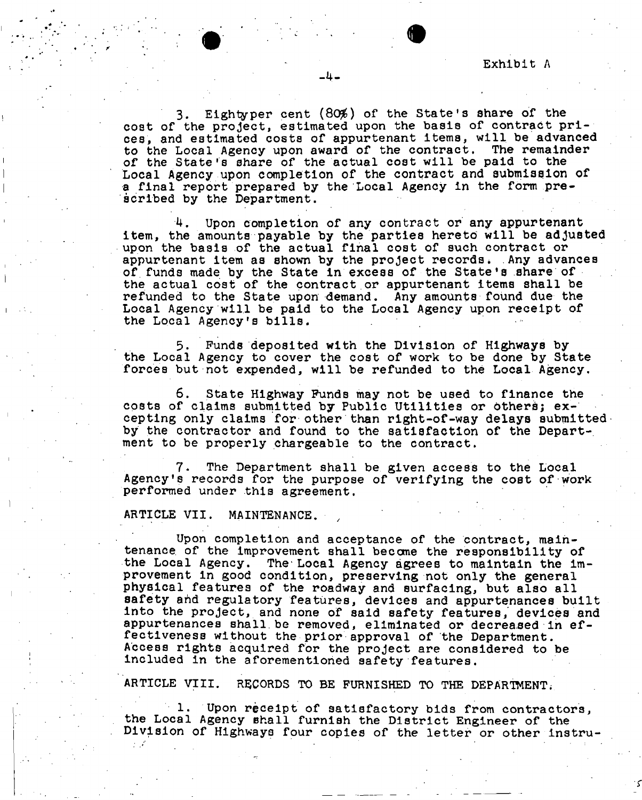Exhibit A

**3. Eightyper cent (80#) of the State's share of the cost of the project, estimated upon the basis of contract prices, and estimated costs of appurtenant items, will be advanced to the Local Agency upon award of the contract. The remainder of the State's share of the actual cost will be paid to the Local Agency upon completion of the contract and submission of a final report prepared by the Local Agency in the form prescribed by the Department.** 

**-4-**

**Upon completion of any contract or any appurtenant item, the amounts payable by the parties hereto will be adjusted upon the basis of the actual final cost of such contract or appurtenant item as Bhown by the project records \* Any advances of.funds made by the State in excess of the State's share of the actual cost of the contract or appurtenant items shall be refunded to the State upon demand. Any amounts found due the Local Agency will be paid to the Local Agency upon receipt of the Local Agency's bills.** 

**5. Funds deposited with the Division of Highways by the Local Agency to cover the cost of work to be done by State forces but not expended, will be refunded to the Local Agency.** 

**6. State Highway Funds may not be used to finance the costs of claims submitted by Public Utilities or** *tothert;* **excepting only claims for other than right-of-way delays submitted by the contractor and found to the satisfaction of the Depart-, ment to be properly chargeable to the contract.** 

**7. The Department shall be given access to the Local Agency's records for the purpose of verifying the cost of work performed under this agreement.** 

#### **ARTICLE VII. MAINTENANCE. • ,**

**Upon completion and acceptance of the contract, maintenance. of the improvement shall become the responsibility of the Local Agency. The Local Agency agrees to maintain the improvement In good condition, preserving not only the general physical features of the roadway and surfacing, but also all safety ahd regulatory features, devices and appurtenances built**  into the project, and none of said safety features, devices and **appurtenances shall be removed, eliminated or decreased in effectiveness without the prior approval of the Department. Access rights acquired for the project are considered to be included in the aforementioned safety features.** 

**ARTICLE VIII. RECORDS TO BE FURNISHED TO THE DEPARTMENT;** 

**1. Upon receipt of satisfactory bids from contractors, the Local Agency shall furnish the District Engineer of the Division of Highways four copies of the letter or other instru-**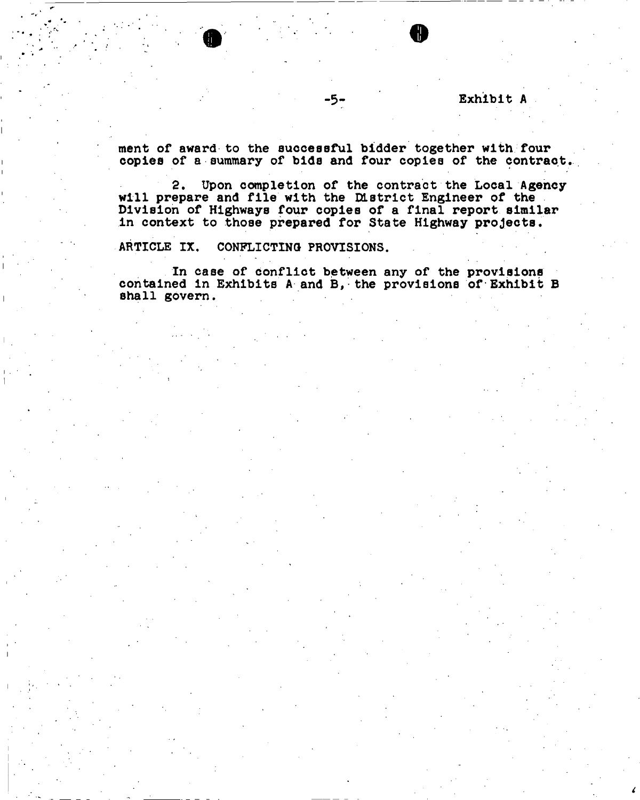# -5- **Exhibit A**

**merit of award to the successful bidder together with four copies of a summary of bide and four copies of the contract.** 

**2. Upon completion of the contract the Local Agency will prepare and file with the District Engineer of the Division of Highways four copies of a final report similar in context to those prepared for State Highway projects,** 

**ARTICLE IX, CONFLICTING PROVISIONS.** 

**In case of conflict between any of the provisions contained in Exhibits A and B, the provisions of Exhibit B shall govern.**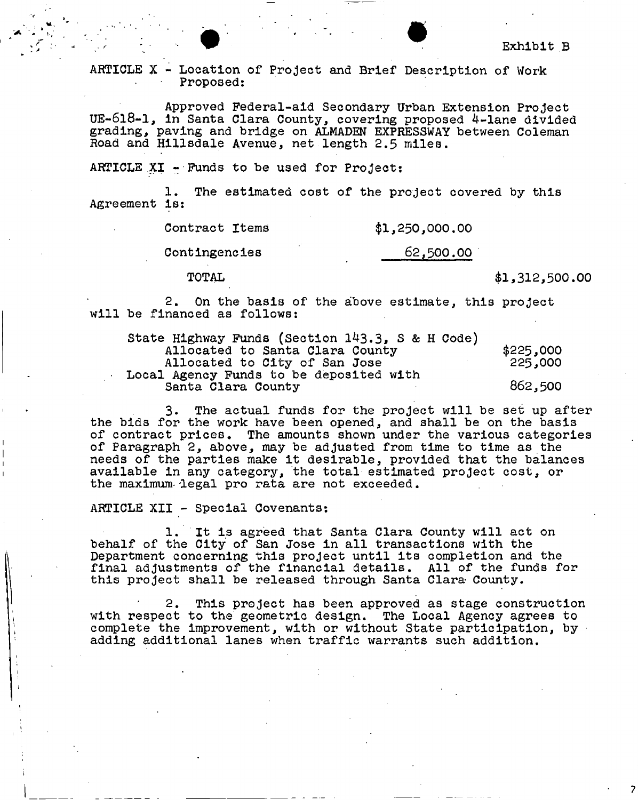**ARTICLE X - Location of Project and Brief Description of Work Proposed:** 

**Approved Federal-aid Secondary Urban Extension Project UE-618-1, In Santa Clara County, covering proposed 4-lane divided grading, paving and bridge on ALMADEN EXPRESSWAY between Coleman Road and Hillsdale Avenue, net length 2.5 miles.** 

**ARTICLE XI - Funds to be used for Project:** 

The estimated cost of the project covered by this **Agreement Is:** 

**Contract Items \$1,250,000,00** 

**Contingencies 62,500.00** 

**TOTAL \$1,312,500.00** 

**2. On the basis of the above estimate, this project will be financed as follows:** 

| State Highway Funds (Section 143.3, S & H Code) |           |
|-------------------------------------------------|-----------|
| Allocated to Santa Clara County                 | \$225,000 |
| Allocated to City of San Jose                   | 225,000   |
| Local Agency Funds to be deposited with         |           |
| Santa Clara County                              | 862,500   |

**3. The actual funds for the project will be set up after the bids for the work have been opened, and shall be on the basis of contract prices. The amounts shown under the various categories of Paragraph 2, above, may be adjusted from time to time as the needs of the parties make it desirable, provided that the balances available in any category, the total estimated project cost, or the maximum- legal pro rata are not exceeded.** 

**ARTICLE XII - Special Covenants:** 

**1. It is agreed that Santa Clara County will act on behalf of the City of San Jose in all transactions with the Department concerning this project until its completion and the final adjustments of the financial details. All of the funds for this project shall be released through Santa Clara County.** 

**2. This project has been approved as stage construction with respect to the geometric design. The Local Agency agrees to complete the improvement, with or without State participation, by adding additional lanes when traffic warrants such addition.**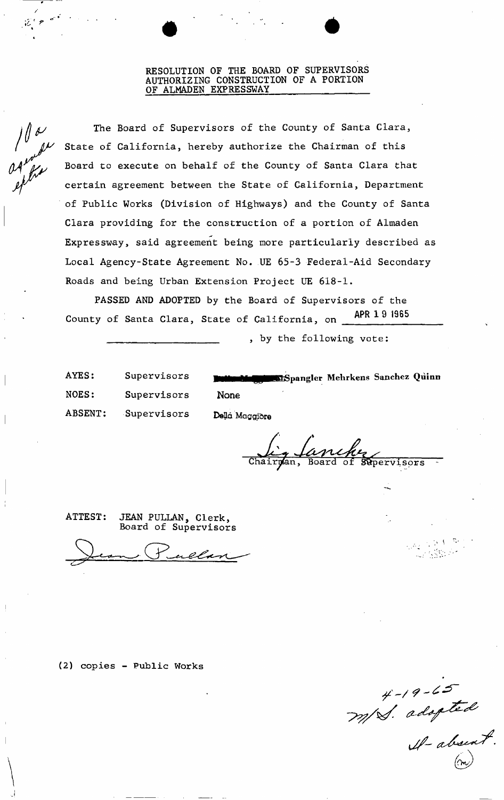#### **RESOLUTION OF THE BOARD OF SUPERVISORS AUTHORIZING CONSTRUCTION OF A PORTION OF ALMADEN EXPRESSWAY**

 $\bullet$   $\bullet$   $\bullet$ 

aproba<br>approach<br>appro

**The Board of Supervisors of the County of Santa Clara, State of California, hereby authorize the Chairman of this Board to execute on behalf of the County of Santa Clara that certain agreement between the State of California, Department of Public Works (Division of Highways) and the County of Santa Clara providing for the construction of a portion of Almaden Expressway, said agreement being more particularly described as Local Agency-State Agreement No. UE 65-3 Federal-Aid Secondary Roads and being Urban Extension Project UE 618-1.** 

**PASSED AND ADOPTED by the Board of Supervisors of the County of Santa Clara, State of California, on APR 1 9 1965** 

**by the following vote:** 

**NOES: Supervisors None**  ABSENT: Supervisors Della Maggiore

**AYES: Supervisors pangler Mehrkens Sanchez Quinn** 

<u>Lanche</u><br>n, Board of Supervisors

**ATTEST: JEAN PULLAN, Clerk, Board of Supervisors** 

**(2) copies - Public Works** 

 $H-19-65$ <br> $-77/8$ . adopted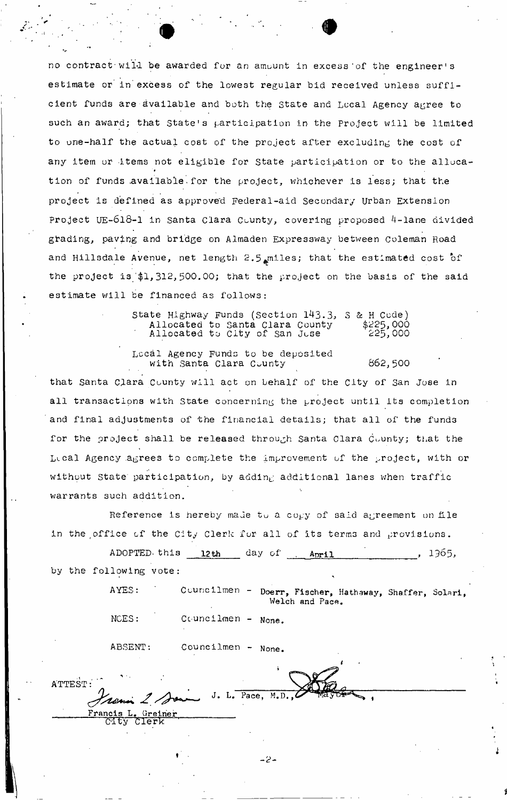no contract will be awarded for an amount in excess of the engineer's estimate or in excess of the lowest regular bid received unless sufficient funds are available and both the State and Local Agency agree to such an award; that State's participation in the Project will be limited to one-half the actual coat of the project after excluding the cost of any item or items not eligible for State participation or to the alluca-• • tion of funds available for the project, whichever is less; that the project is defined as approved Federal-aid Secondary urban Extension Project UE-618-I in Santa Clara County, covering proposed 4-lane divided grading, paving and bridge on Almaden Expressway between Coleman Road and Hillsdale Avenue, net length 2.5 $_{\rm{a}}$ miles; that the estimated cost of the project is  $$1,312,500.00$ ; that the project on the basis of the said estimate will be financed as follows:

> State Highway Funds (Section 143.3, 3 & H Code) Allocated to Santa Clara County \$225,000 Allocated to City of San Juse 225,000

Local Agency Funds to be deposited with Santa Clara County 662,500

that Santa Clara County will act on behalf of the City of San Jose in all transactions with State concerning the project until its completion and final adjustments of the financial details; that all of the funds for the project shall be released through Santa Clara County; that the Lical Agency agrees to complete the improvement of the project, with or without State participation, by adding additional lanes when traffic **warrants 3uch addition.** 

Reference is hereby made to a copy of said agreement on file in the office of the City Clerk for all of its terms and provisions.

ADOPTED-this 12th day of  $April$ , 1965, by the following vote:  $\mathbf{r}$   $\mathbf{r}$   $\mathbf{r}$   $\mathbf{r}$   $\mathbf{r}$   $\mathbf{r}$   $\mathbf{r}$   $\mathbf{r}$   $\mathbf{r}$   $\mathbf{r}$   $\mathbf{r}$   $\mathbf{r}$   $\mathbf{r}$   $\mathbf{r}$   $\mathbf{r}$   $\mathbf{r}$   $\mathbf{r}$   $\mathbf{r}$   $\mathbf{r}$   $\mathbf{r}$   $\mathbf{r}$   $\mathbf{r}$   $\mathbf{r}$   $\mathbf{r}$   $\mathbf{$ 

> AYES: Councilmen - Doerr, Fischer, Hathaway, Shaffer, Solari, Welch and Pace.

NCES: Councilmen - None.

ABSENT: Councilmen - None.

ATTEST: *fyt&+^ ^*<sup>J</sup>\* L -  $\sum_{i=1}^n$  $\mathbf{r}$ , Greinei<br>Clerk

**2-**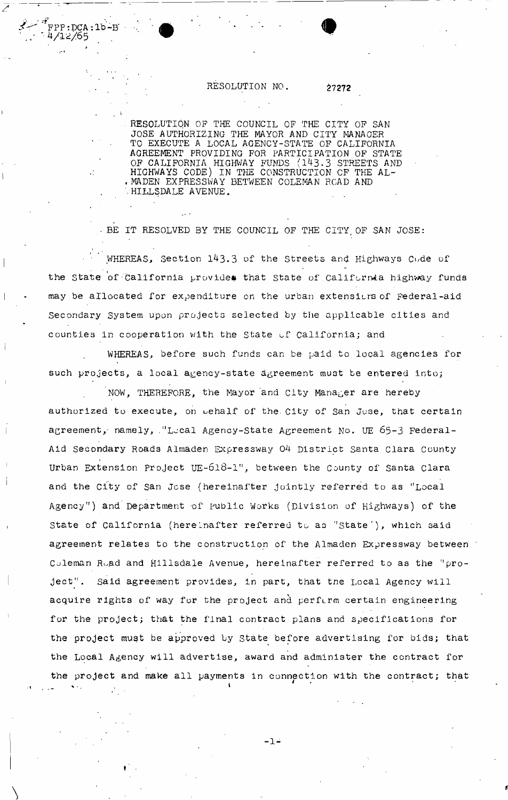# RESOLUTION NO. 27272

FPP:DCA:1b-B

*H/1Z/65* 

RESOLUTION OP THE COUNCIL OF THE CITY OP SAN JOSE AUTHORIZING THE MAYOR AND CITY MANAGER TO EXECUTE A LOCAL AGENCY-STATE OP CALIFORNIA AGREEMENT PROVIDING FOR PARTICIPATION OF STATE OF CALIFORNIA HIGHWAY FUNDS (143.3 STREETS AND • HIGHWAYS CODE) IN THE CONSTRUCTION OF THE AL- . MADEN EXPRESSWAY BETWEEN COLEMAN ROAD AND •HILLSDALE AVENUE.

• BE IT RESOLVED BY THE COUNCIL OF THE CITY, OF SAN JOSE:

WHEREAS, Section 143.3 of the Streets and Highways Code of the State of California provides that State of California highway funds may be allocated for expenditure on the urban extensions of Federal-aid Secondary System upon projects selected by the applicable cities and counties in cooperation with the State of California; and

WHEREAS, before such funds can be paid to local agencies for such projects, a local agency-state agreement must be entered into;

NOW, THEREFORE, the Mayor and City Manager are hereby authorized to execute, on pehalf of the City of San Juse, that certain agreement, namely, "Leal Agency-State Agreement No. UE 65-3 Federal-Aid Secondary Roads Almaden Expressway 04 District Santa Clara County Urban Extension Project UE-618-1", between the County of Santa Clara and the City of San Jose (hereinafter jointly referred to as "Local Agency'<sup>1</sup> ) and Department of public Works (Division of Highways) of the State of California (hereinafter referred to as "state'), which said agreement relates to the construction of the Almaden Expressway between Coleman Road and Hillsdale Avenue, hereinafter referred to as the "project". Said agreement provides, in part, that the Local Agency will acquire rights of way for the project and perferm certain engineering for the project; that the final contract plans and specifications for the project must be approved by State before advertising for bids; that the **Local** Agency will advertise, award and administer the contract for the project and **make** all payments in connection with the contract; that

 $-1-$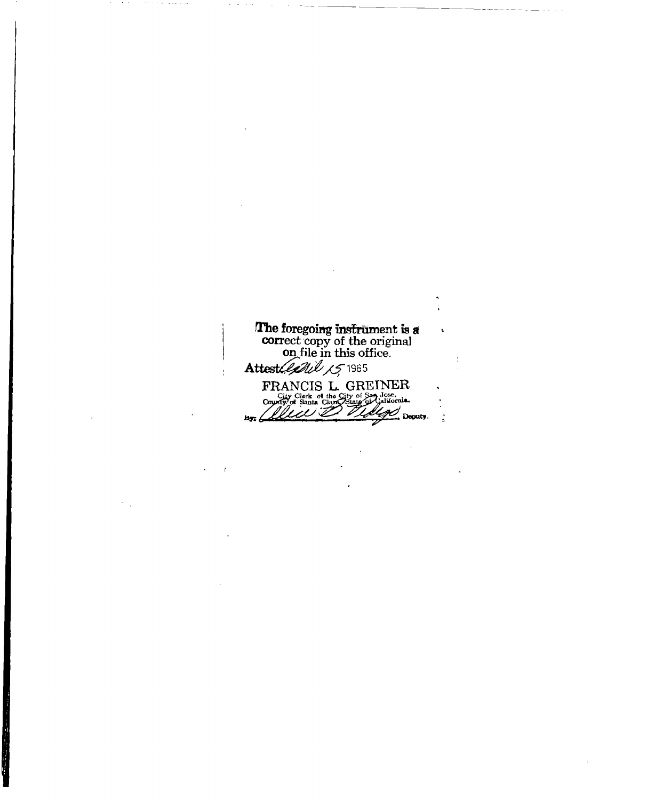**The foregoing instrument is a**  $\tilde{\mathbf{t}}$ **correct copy of the original on file in this office.**  Attest*(land 15* 1965 **FRANCIS L. GREINER**<br>
Councy of Shaha Clare Strate 3 University.<br>
Councy of Shaha Clare Strate 3 University.  $b$ y:  $\angle$  $\frac{1}{2}$ 

 $\ddot{\phantom{1}}$ 

÷

 $\bar{1}$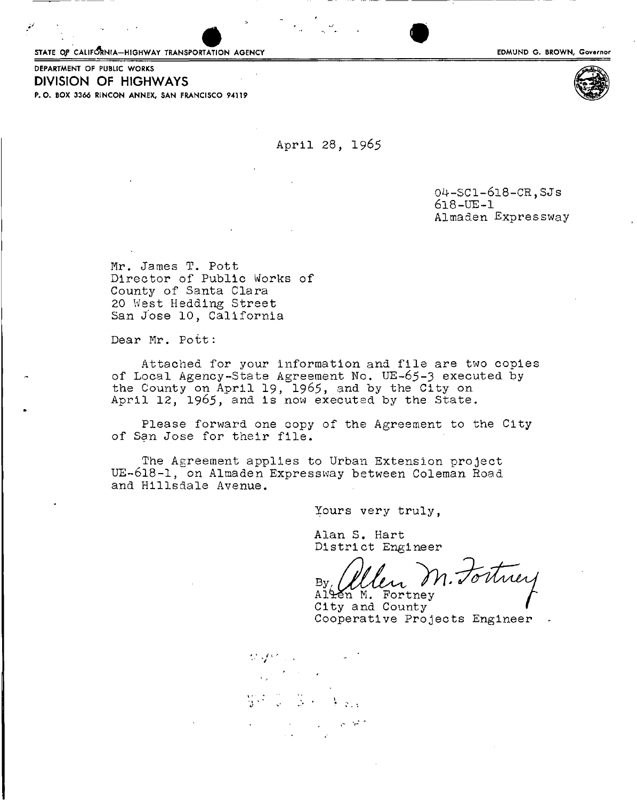STATE OF CALIFORNIA-HIGHWAY TRANSPORTATION AGENCY

DEPARTMENT OF PUBLIC WORKS DIVISION OF HIGHWAYS P.O. BOX 3366 R1NCON ANNEX, SAN FRANCISCO 94119

April 28, 1965

0^-SCl-6l8-CR,SJ**S 618**-UE-l Almaden Expressway

Mr. James T. Pott Director of Public Works of County of Santa Clara 20 West Heading Street San Jose 10, California

Dear Mr. Pott:

Attached for your information and file are two copies of Local Agency-State Agreement No. UE-65-3 executed by the County on April 19, 1965, and by the City on April 12, 1965, and is now executed by the State.

Please forward one copy of the Agreement to the City of San Jose for their file.

The Agreement applies to Urban Extension project UE-618-1, on Almaden Expressway between Coleman Road and Hillsdale Avenue.

Yours very truly,

Alan S. Hart District Engineer

 $\mathcal{B}_{\mathcal{Y}_L}$   $\mathcal{U}_L$ 

Alten M. Fortney City and County<br>Cooperative Projects Engineer

**\* - • J** 

EDMUND G. BROWN, Governor

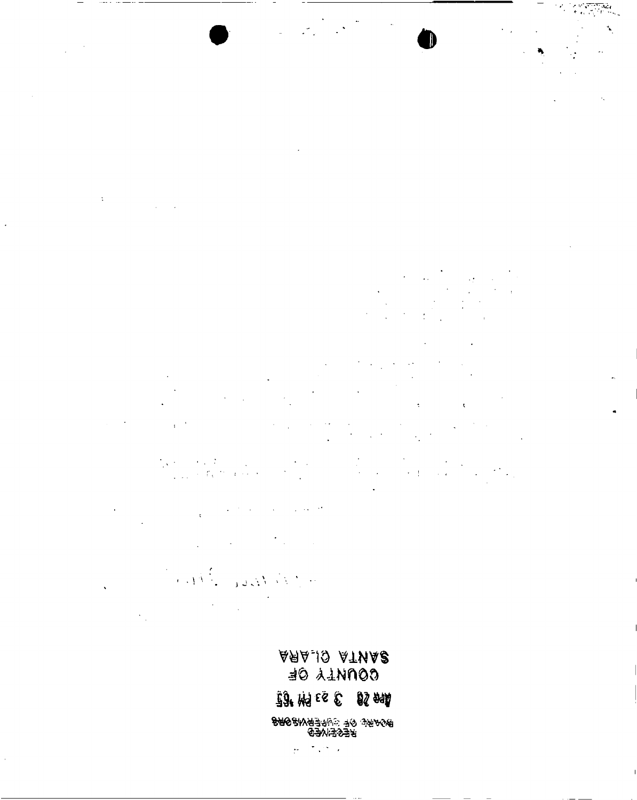

 $\ddot{\gamma}$  $\mathcal{L}_{\rm{max}}$  .

 $\mathbf{r}$ 

 $\label{eq:2.1} \frac{1}{2} \int_{0}^{2\pi} \frac{1}{\sqrt{2\pi}} \, \frac{1}{2\pi} \int_{0}^{2\pi} \frac{1}{\sqrt{2\pi}} \, \frac{1}{2\pi} \int_{0}^{2\pi} \frac{1}{\sqrt{2\pi}} \, \frac{1}{2\pi} \int_{0}^{2\pi} \frac{1}{\sqrt{2\pi}} \, \frac{1}{2\pi} \int_{0}^{2\pi} \frac{1}{\sqrt{2\pi}} \, \frac{1}{2\pi} \int_{0}^{2\pi} \frac{1}{\sqrt{2\pi}} \, \frac{1}{2\pi} \int_{0}^{$  $\epsilon$ 

 $\frac{1}{4\sqrt{2}}\frac{1}{2}$  $\mathcal{L}_{\rm{max}}$  $\begin{aligned} \frac{1}{\sqrt{2}}\frac{1}{\sqrt{2}}\frac{1}{\sqrt{2}}\frac{1}{\sqrt{2}}\frac{1}{\sqrt{2}}\frac{1}{\sqrt{2}}\frac{1}{\sqrt{2}}\frac{1}{\sqrt{2}}\frac{1}{\sqrt{2}}\frac{1}{\sqrt{2}}\frac{1}{\sqrt{2}}\frac{1}{\sqrt{2}}\frac{1}{\sqrt{2}}\frac{1}{\sqrt{2}}\frac{1}{\sqrt{2}}\frac{1}{\sqrt{2}}\frac{1}{\sqrt{2}}\frac{1}{\sqrt{2}}\frac{1}{\sqrt{2}}\frac{1}{\sqrt{2}}\frac{1}{\sqrt{2}}\frac{1}{$  $\frac{1}{1+\sqrt{2}}$  .  $\frac{1}{\epsilon}$ 

 $\ddot{\phantom{a}}$  $\frac{1}{2}$  and  $\frac{1}{2}$  and  $\frac{1}{2}$  $\bar{\rm t}$ 

 $\mathcal{F}_{\mathcal{A}}$  , where  $\mathcal{F}_{\mathcal{A}}$ 

 $\ddot{\phantom{a}}$ 

Santa Boundary  $\overline{\phantom{a}}$ 

 $\mathcal{L}^{\text{max}}$  $\hat{\mathcal{L}}_{\text{in}}$ 

> **ARAJO ATNAS** BO ALNNOO

33 附区包 53 84

<del>®</del>%₩₩€€€₩₩<del>€₩₽₽₩₽</del><br>₩₩₽₩<del>€</del>

 $\sim$   $\sim$  $\mathcal{L}$